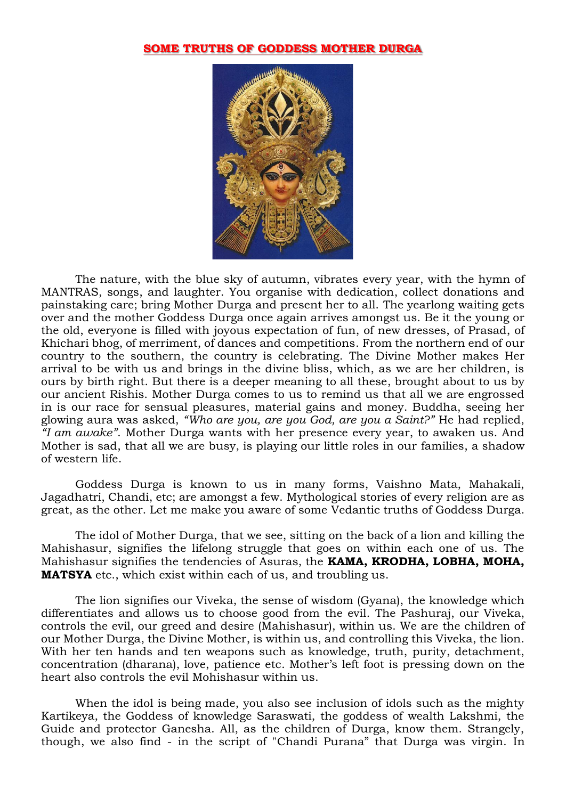## **SOME TRUTHS OF GODDESS MOTHER DURGA**



The nature, with the blue sky of autumn, vibrates every year, with the hymn of MANTRAS, songs, and laughter. You organise with dedication, collect donations and painstaking care; bring Mother Durga and present her to all. The yearlong waiting gets over and the mother Goddess Durga once again arrives amongst us. Be it the young or the old, everyone is filled with joyous expectation of fun, of new dresses, of Prasad, of Khichari bhog, of merriment, of dances and competitions. From the northern end of our country to the southern, the country is celebrating. The Divine Mother makes Her arrival to be with us and brings in the divine bliss, which, as we are her children, is ours by birth right. But there is a deeper meaning to all these, brought about to us by our ancient Rishis. Mother Durga comes to us to remind us that all we are engrossed in is our race for sensual pleasures, material gains and money. Buddha, seeing her glowing aura was asked, *"Who are you, are you God, are you a Saint?"* He had replied, *"I am awake"*. Mother Durga wants with her presence every year, to awaken us. And Mother is sad, that all we are busy, is playing our little roles in our families, a shadow of western life.

Goddess Durga is known to us in many forms, Vaishno Mata, Mahakali, Jagadhatri, Chandi, etc; are amongst a few. Mythological stories of every religion are as great, as the other. Let me make you aware of some Vedantic truths of Goddess Durga.

The idol of Mother Durga, that we see, sitting on the back of a lion and killing the Mahishasur, signifies the lifelong struggle that goes on within each one of us. The Mahishasur signifies the tendencies of Asuras, the **KAMA, KRODHA, LOBHA, MOHA, MATSYA** etc., which exist within each of us, and troubling us.

The lion signifies our Viveka, the sense of wisdom (Gyana), the knowledge which differentiates and allows us to choose good from the evil. The Pashuraj, our Viveka, controls the evil, our greed and desire (Mahishasur), within us. We are the children of our Mother Durga, the Divine Mother, is within us, and controlling this Viveka, the lion. With her ten hands and ten weapons such as knowledge, truth, purity, detachment, concentration (dharana), love, patience etc. Mother's left foot is pressing down on the heart also controls the evil Mohishasur within us.

When the idol is being made, you also see inclusion of idols such as the mighty Kartikeya, the Goddess of knowledge Saraswati, the goddess of wealth Lakshmi, the Guide and protector Ganesha. All, as the children of Durga, know them. Strangely, though, we also find - in the script of "Chandi Purana" that Durga was virgin. In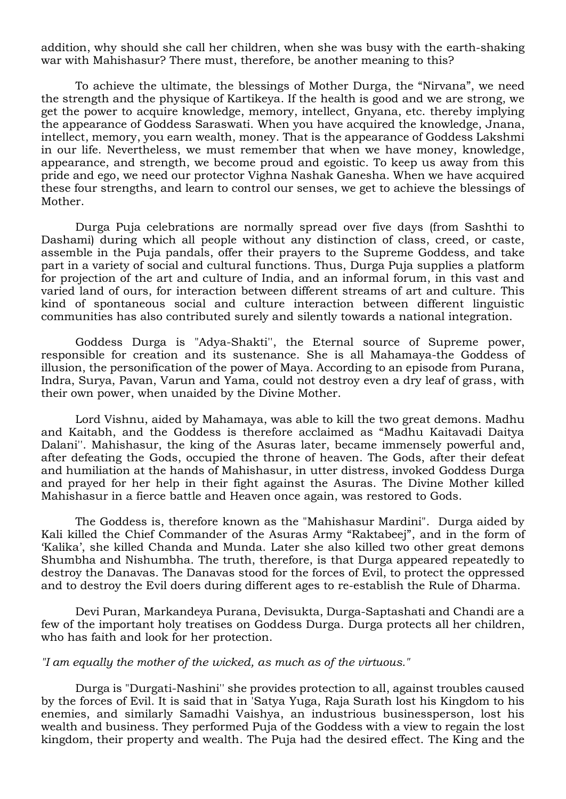addition, why should she call her children, when she was busy with the earth-shaking war with Mahishasur? There must, therefore, be another meaning to this?

To achieve the ultimate, the blessings of Mother Durga, the "Nirvana", we need the strength and the physique of Kartikeya. If the health is good and we are strong, we get the power to acquire knowledge, memory, intellect, Gnyana, etc. thereby implying the appearance of Goddess Saraswati. When you have acquired the knowledge, Jnana, intellect, memory, you earn wealth, money. That is the appearance of Goddess Lakshmi in our life. Nevertheless, we must remember that when we have money, knowledge, appearance, and strength, we become proud and egoistic. To keep us away from this pride and ego, we need our protector Vighna Nashak Ganesha. When we have acquired these four strengths, and learn to control our senses, we get to achieve the blessings of Mother.

Durga Puja celebrations are normally spread over five days (from Sashthi to Dashami) during which all people without any distinction of class, creed, or caste, assemble in the Puja pandals, offer their prayers to the Supreme Goddess, and take part in a variety of social and cultural functions. Thus, Durga Puja supplies a platform for projection of the art and culture of India, and an informal forum, in this vast and varied land of ours, for interaction between different streams of art and culture. This kind of spontaneous social and culture interaction between different linguistic communities has also contributed surely and silently towards a national integration.

Goddess Durga is "Adya-Shakti'', the Eternal source of Supreme power, responsible for creation and its sustenance. She is all Mahamaya-the Goddess of illusion, the personification of the power of Maya. According to an episode from Purana, Indra, Surya, Pavan, Varun and Yama, could not destroy even a dry leaf of grass, with their own power, when unaided by the Divine Mother.

Lord Vishnu, aided by Mahamaya, was able to kill the two great demons. Madhu and Kaitabh, and the Goddess is therefore acclaimed as "Madhu Kaitavadi Daitya Dalani''. Mahishasur, the king of the Asuras later, became immensely powerful and, after defeating the Gods, occupied the throne of heaven. The Gods, after their defeat and humiliation at the hands of Mahishasur, in utter distress, invoked Goddess Durga and prayed for her help in their fight against the Asuras. The Divine Mother killed Mahishasur in a fierce battle and Heaven once again, was restored to Gods.

The Goddess is, therefore known as the "Mahishasur Mardini". Durga aided by Kali killed the Chief Commander of the Asuras Army "Raktabeej", and in the form of 'Kalika', she killed Chanda and Munda. Later she also killed two other great demons Shumbha and Nishumbha. The truth, therefore, is that Durga appeared repeatedly to destroy the Danavas. The Danavas stood for the forces of Evil, to protect the oppressed and to destroy the Evil doers during different ages to re-establish the Rule of Dharma.

Devi Puran, Markandeya Purana, Devisukta, Durga-Saptashati and Chandi are a few of the important holy treatises on Goddess Durga. Durga protects all her children, who has faith and look for her protection.

## *"I am equally the mother of the wicked, as much as of the virtuous."*

Durga is "Durgati-Nashini'' she provides protection to all, against troubles caused by the forces of Evil. It is said that in 'Satya Yuga, Raja Surath lost his Kingdom to his enemies, and similarly Samadhi Vaishya, an industrious businessperson, lost his wealth and business. They performed Puja of the Goddess with a view to regain the lost kingdom, their property and wealth. The Puja had the desired effect. The King and the